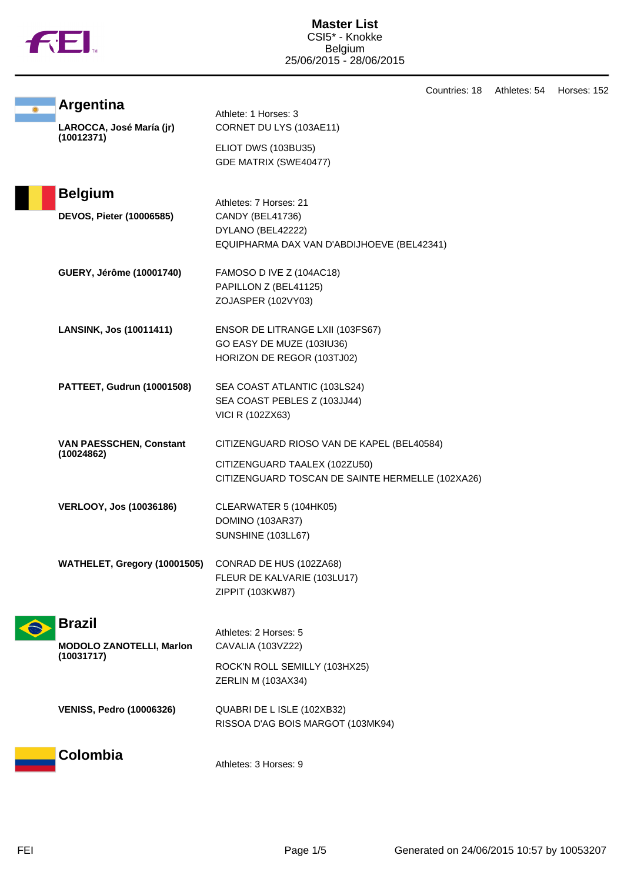

|                                              | Countries: 18                                    | Athletes: 54 | Horses: 152 |
|----------------------------------------------|--------------------------------------------------|--------------|-------------|
| <b>Argentina</b>                             | Athlete: 1 Horses: 3                             |              |             |
| LAROCCA, José María (jr)<br>(10012371)       | CORNET DU LYS (103AE11)                          |              |             |
|                                              | ELIOT DWS (103BU35)                              |              |             |
|                                              | GDE MATRIX (SWE40477)                            |              |             |
| <b>Belgium</b>                               |                                                  |              |             |
|                                              | Athletes: 7 Horses: 21                           |              |             |
| <b>DEVOS, Pieter (10006585)</b>              | CANDY (BEL41736)<br>DYLANO (BEL42222)            |              |             |
|                                              | EQUIPHARMA DAX VAN D'ABDIJHOEVE (BEL42341)       |              |             |
| GUERY, Jérôme (10001740)                     | FAMOSO D IVE Z (104AC18)                         |              |             |
|                                              | PAPILLON Z (BEL41125)                            |              |             |
|                                              | ZOJASPER (102VY03)                               |              |             |
| <b>LANSINK, Jos (10011411)</b>               | ENSOR DE LITRANGE LXII (103FS67)                 |              |             |
|                                              | GO EASY DE MUZE (103IU36)                        |              |             |
|                                              | HORIZON DE REGOR (103TJ02)                       |              |             |
| PATTEET, Gudrun (10001508)                   | SEA COAST ATLANTIC (103LS24)                     |              |             |
|                                              | SEA COAST PEBLES Z (103JJ44)                     |              |             |
|                                              | VICI R (102ZX63)                                 |              |             |
| <b>VAN PAESSCHEN, Constant</b><br>(10024862) | CITIZENGUARD RIOSO VAN DE KAPEL (BEL40584)       |              |             |
|                                              | CITIZENGUARD TAALEX (102ZU50)                    |              |             |
|                                              | CITIZENGUARD TOSCAN DE SAINTE HERMELLE (102XA26) |              |             |
| <b>VERLOOY, Jos (10036186)</b>               | CLEARWATER 5 (104HK05)                           |              |             |
|                                              | DOMINO (103AR37)                                 |              |             |
|                                              | SUNSHINE (103LL67)                               |              |             |
| WATHELET, Gregory (10001505)                 | CONRAD DE HUS (102ZA68)                          |              |             |
|                                              | FLEUR DE KALVARIE (103LU17)                      |              |             |
|                                              | ZIPPIT (103KW87)                                 |              |             |
| <b>Brazil</b>                                |                                                  |              |             |
| <b>MODOLO ZANOTELLI, Marlon</b>              | Athletes: 2 Horses: 5<br>CAVALIA (103VZ22)       |              |             |
| (10031717)                                   | ROCK'N ROLL SEMILLY (103HX25)                    |              |             |
|                                              | ZERLIN M (103AX34)                               |              |             |
| <b>VENISS, Pedro (10006326)</b>              | QUABRI DE L ISLE (102XB32)                       |              |             |
|                                              | RISSOA D'AG BOIS MARGOT (103MK94)                |              |             |
| <b>Colombia</b>                              |                                                  |              |             |
|                                              | Athletes: 3 Horses: 9                            |              |             |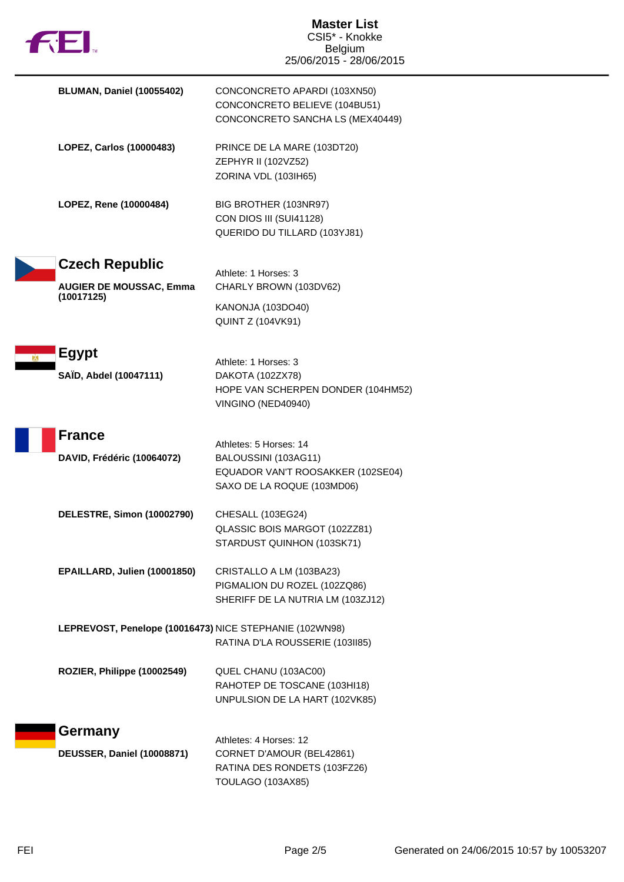| fil.                                                                  | <b>Master List</b><br>CSI5* - Knokke<br><b>Belgium</b><br>25/06/2015 - 28/06/2015                                 |  |
|-----------------------------------------------------------------------|-------------------------------------------------------------------------------------------------------------------|--|
| <b>BLUMAN, Daniel (10055402)</b>                                      | CONCONCRETO APARDI (103XN50)<br>CONCONCRETO BELIEVE (104BU51)<br>CONCONCRETO SANCHA LS (MEX40449)                 |  |
| LOPEZ, Carlos (10000483)                                              | PRINCE DE LA MARE (103DT20)<br>ZEPHYR II (102VZ52)<br>ZORINA VDL (103IH65)                                        |  |
| LOPEZ, Rene (10000484)                                                | BIG BROTHER (103NR97)<br>CON DIOS III (SUI41128)<br>QUERIDO DU TILLARD (103YJ81)                                  |  |
| <b>Czech Republic</b><br><b>AUGIER DE MOUSSAC, Emma</b><br>(10017125) | Athlete: 1 Horses: 3<br>CHARLY BROWN (103DV62)                                                                    |  |
|                                                                       | KANONJA (103DO40)<br><b>QUINT Z (104VK91)</b>                                                                     |  |
| <b>Egypt</b><br>SAÏD, Abdel (10047111)                                | Athlete: 1 Horses: 3<br>DAKOTA (102ZX78)<br>HOPE VAN SCHERPEN DONDER (104HM52)<br>VINGINO (NED40940)              |  |
| <b>France</b><br>DAVID, Frédéric (10064072)                           | Athletes: 5 Horses: 14<br>BALOUSSINI (103AG11)<br>EQUADOR VAN'T ROOSAKKER (102SE04)<br>SAXO DE LA ROQUE (103MD06) |  |
| DELESTRE, Simon (10002790)                                            | CHESALL (103EG24)<br>QLASSIC BOIS MARGOT (102ZZ81)<br>STARDUST QUINHON (103SK71)                                  |  |
| EPAILLARD, Julien (10001850)                                          | CRISTALLO A LM (103BA23)<br>PIGMALION DU ROZEL (102ZQ86)<br>SHERIFF DE LA NUTRIA LM (103ZJ12)                     |  |
| LEPREVOST, Penelope (10016473) NICE STEPHANIE (102WN98)               | RATINA D'LA ROUSSERIE (103II85)                                                                                   |  |
| ROZIER, Philippe (10002549)                                           | QUEL CHANU (103AC00)<br>RAHOTEP DE TOSCANE (103HI18)<br>UNPULSION DE LA HART (102VK85)                            |  |
| Germany<br><b>DEUSSER, Daniel (10008871)</b>                          | Athletes: 4 Horses: 12<br>CORNET D'AMOUR (BEL42861)<br>RATINA DES RONDETS (103FZ26)<br>TOULAGO (103AX85)          |  |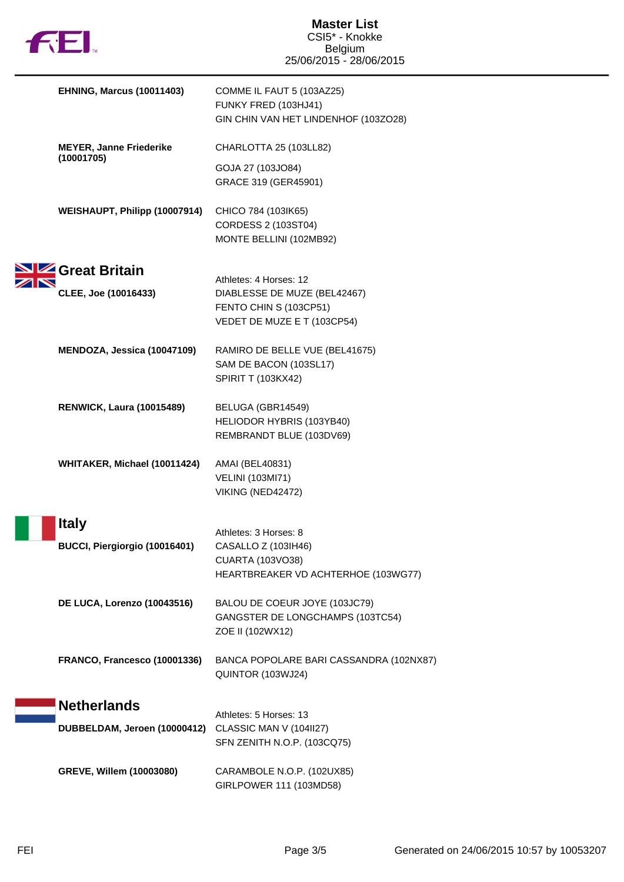| <b>TM</b> |  |
|-----------|--|

NN

| <b>EHNING, Marcus (10011403)</b>             | COMME IL FAUT 5 (103AZ25)<br>FUNKY FRED (103HJ41)<br>GIN CHIN VAN HET LINDENHOF (103ZO28)                       |
|----------------------------------------------|-----------------------------------------------------------------------------------------------------------------|
| <b>MEYER, Janne Friederike</b><br>(10001705) | CHARLOTTA 25 (103LL82)<br>GOJA 27 (103JO84)<br>GRACE 319 (GER45901)                                             |
| WEISHAUPT, Philipp (10007914)                | CHICO 784 (103IK65)<br>CORDESS 2 (103ST04)<br>MONTE BELLINI (102MB92)                                           |
| Great Britain<br>CLEE, Joe (10016433)        | Athletes: 4 Horses: 12<br>DIABLESSE DE MUZE (BEL42467)<br>FENTO CHIN S (103CP51)<br>VEDET DE MUZE E T (103CP54) |
| MENDOZA, Jessica (10047109)                  | RAMIRO DE BELLE VUE (BEL41675)<br>SAM DE BACON (103SL17)<br><b>SPIRIT T (103KX42)</b>                           |
| <b>RENWICK, Laura (10015489)</b>             | BELUGA (GBR14549)<br>HELIODOR HYBRIS (103YB40)<br>REMBRANDT BLUE (103DV69)                                      |
| WHITAKER, Michael (10011424)                 | AMAI (BEL40831)<br><b>VELINI (103MI71)</b><br>VIKING (NED42472)                                                 |
| Italy<br>BUCCI, Piergiorgio (10016401)       | Athletes: 3 Horses: 8<br>CASALLO Z (103lH46)<br><b>CUARTA (103VO38)</b><br>HEARTBREAKER VD ACHTERHOE (103WG77)  |
| DE LUCA, Lorenzo (10043516)                  | BALOU DE COEUR JOYE (103JC79)<br>GANGSTER DE LONGCHAMPS (103TC54)<br>ZOE II (102WX12)                           |
| FRANCO, Francesco (10001336)                 | BANCA POPOLARE BARI CASSANDRA (102NX87)<br>QUINTOR (103WJ24)                                                    |
| <b>Netherlands</b>                           |                                                                                                                 |
| DUBBELDAM, Jeroen (10000412)                 | Athletes: 5 Horses: 13<br>CLASSIC MAN V (104II27)<br>SFN ZENITH N.O.P. (103CQ75)                                |
| GREVE, Willem (10003080)                     | CARAMBOLE N.O.P. (102UX85)<br>GIRLPOWER 111 (103MD58)                                                           |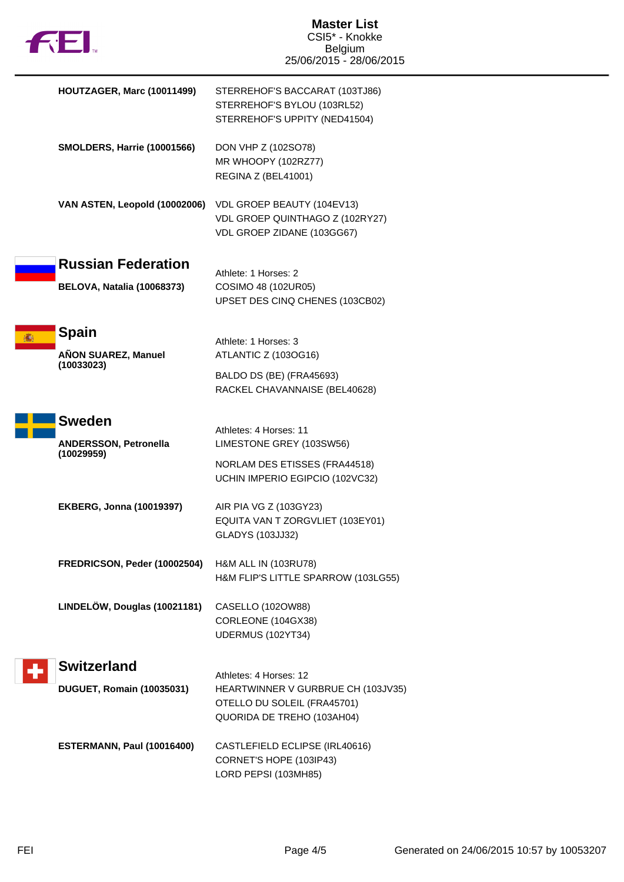

| HOUTZAGER, Marc (10011499)                                     | STERREHOF'S BACCARAT (103TJ86)<br>STERREHOF'S BYLOU (103RL52)<br>STERREHOF'S UPPITY (NED41504)                            |
|----------------------------------------------------------------|---------------------------------------------------------------------------------------------------------------------------|
| <b>SMOLDERS, Harrie (10001566)</b>                             | DON VHP Z (102SO78)<br>MR WHOOPY (102RZ77)<br>REGINA Z (BEL41001)                                                         |
| VAN ASTEN, Leopold (10002006)                                  | VDL GROEP BEAUTY (104EV13)<br>VDL GROEP QUINTHAGO Z (102RY27)<br>VDL GROEP ZIDANE (103GG67)                               |
| <b>Russian Federation</b><br><b>BELOVA, Natalia (10068373)</b> | Athlete: 1 Horses: 2<br>COSIMO 48 (102UR05)<br>UPSET DES CINQ CHENES (103CB02)                                            |
| <b>Spain</b><br>AÑON SUAREZ, Manuel<br>(10033023)              | Athlete: 1 Horses: 3<br>ATLANTIC Z (103OG16)<br>BALDO DS (BE) (FRA45693)<br>RACKEL CHAVANNAISE (BEL40628)                 |
| <b>Sweden</b><br><b>ANDERSSON, Petronella</b><br>(10029959)    | Athletes: 4 Horses: 11<br>LIMESTONE GREY (103SW56)<br>NORLAM DES ETISSES (FRA44518)<br>UCHIN IMPERIO EGIPCIO (102VC32)    |
| <b>EKBERG, Jonna (10019397)</b>                                | AIR PIA VG Z (103GY23)<br>EQUITA VAN T ZORGVLIET (103EY01)<br><b>GLADYS (103JJ32)</b>                                     |
| FREDRICSON, Peder (10002504)                                   | H&M ALL IN (103RU78)<br>H&M FLIP'S LITTLE SPARROW (103LG55)                                                               |
| LINDELÖW, Douglas (10021181)                                   | CASELLO (102OW88)<br>CORLEONE (104GX38)<br>UDERMUS (102YT34)                                                              |
| <b>Switzerland</b>                                             |                                                                                                                           |
| <b>DUGUET, Romain (10035031)</b>                               | Athletes: 4 Horses: 12<br>HEARTWINNER V GURBRUE CH (103JV35)<br>OTELLO DU SOLEIL (FRA45701)<br>QUORIDA DE TREHO (103AH04) |
| ESTERMANN, Paul (10016400)                                     | CASTLEFIELD ECLIPSE (IRL40616)<br>CORNET'S HOPE (103IP43)<br>LORD PEPSI (103MH85)                                         |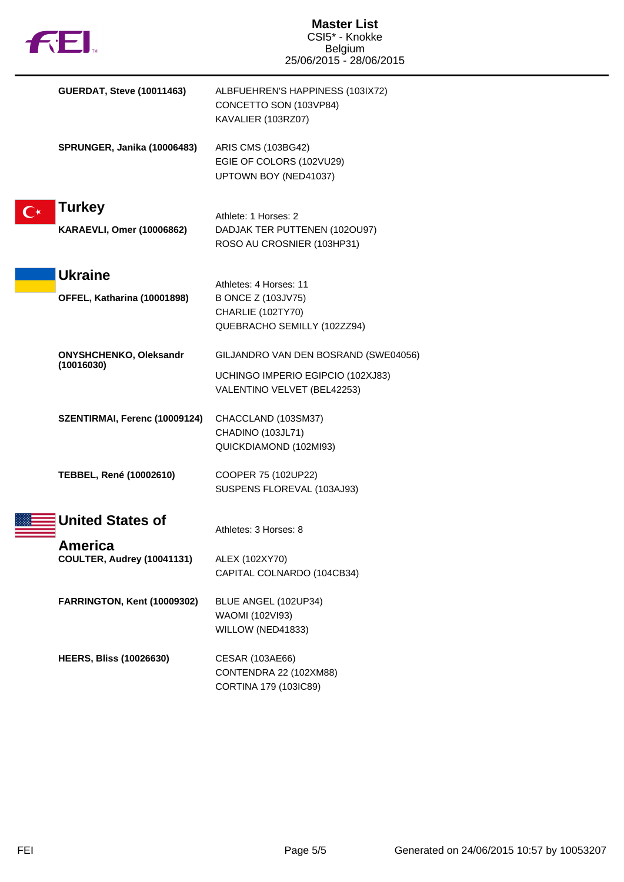| <b>122.</b>                                       | <b>Master List</b><br>CSI5* - Knokke<br><b>Belgium</b><br>25/06/2015 - 28/06/2015                        |
|---------------------------------------------------|----------------------------------------------------------------------------------------------------------|
| <b>GUERDAT, Steve (10011463)</b>                  | ALBFUEHREN'S HAPPINESS (103IX72)<br>CONCETTO SON (103VP84)<br>KAVALIER (103RZ07)                         |
| SPRUNGER, Janika (10006483)                       | ARIS CMS (103BG42)<br>EGIE OF COLORS (102VU29)<br>UPTOWN BOY (NED41037)                                  |
| <b>Turkey</b><br><b>KARAEVLI, Omer (10006862)</b> | Athlete: 1 Horses: 2<br>DADJAK TER PUTTENEN (102OU97)<br>ROSO AU CROSNIER (103HP31)                      |
| <b>Ukraine</b><br>OFFEL, Katharina (10001898)     | Athletes: 4 Horses: 11<br>B ONCE Z (103JV75)<br>CHARLIE (102TY70)<br>QUEBRACHO SEMILLY (102ZZ94)         |
| ONYSHCHENKO, Oleksandr<br>(10016030)              | GILJANDRO VAN DEN BOSRAND (SWE04056)<br>UCHINGO IMPERIO EGIPCIO (102XJ83)<br>VALENTINO VELVET (BEL42253) |
| SZENTIRMAI, Ferenc (10009124)                     | CHACCLAND (103SM37)<br>CHADINO (103JL71)<br>QUICKDIAMOND (102MI93)                                       |
| TEBBEL, René (10002610)                           | COOPER 75 (102UP22)<br>SUSPENS FLOREVAL (103AJ93)                                                        |
| <b>United States of</b>                           | Athletes: 3 Horses: 8                                                                                    |
| America<br>COULTER, Audrey (10041131)             | ALEX (102XY70)<br>CAPITAL COLNARDO (104CB34)                                                             |
| FARRINGTON, Kent (10009302)                       | BLUE ANGEL (102UP34)<br>WAOMI (102VI93)<br>WILLOW (NED41833)                                             |
| <b>HEERS, Bliss (10026630)</b>                    | CESAR (103AE66)<br>CONTENDRA 22 (102XM88)<br>CORTINA 179 (103IC89)                                       |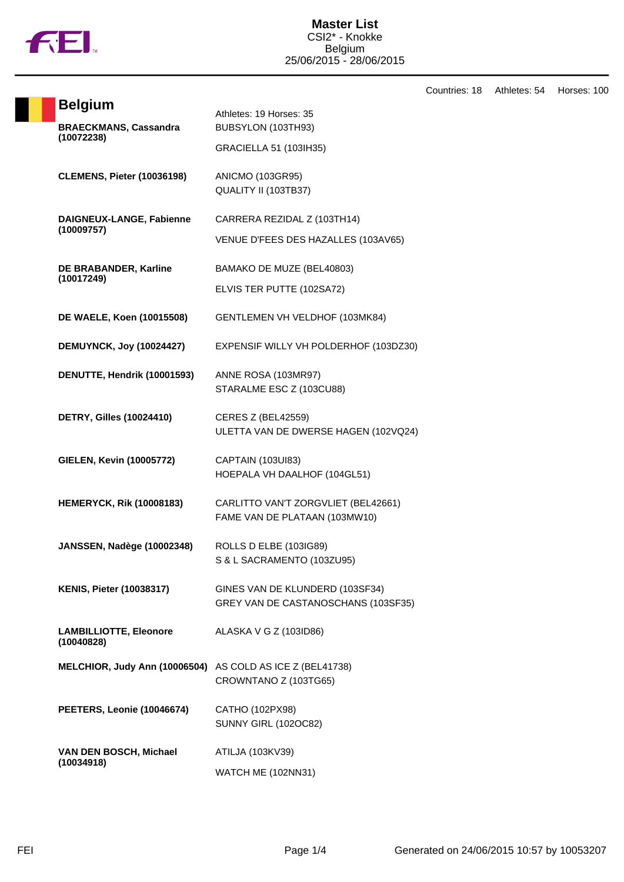

Countries: 18 Athletes: 54 Horses: 100

| <b>Belgium</b>                       |                                                                      |
|--------------------------------------|----------------------------------------------------------------------|
| <b>BRAECKMANS, Cassandra</b>         | Athletes: 19 Horses: 35<br>BUBSYLON (103TH93)                        |
| (10072238)                           | GRACIELLA 51 (103IH35)                                               |
|                                      |                                                                      |
| <b>CLEMENS, Pieter (10036198)</b>    | ANICMO (103GR95)                                                     |
|                                      | QUALITY II (103TB37)                                                 |
| DAIGNEUX-LANGE, Fabienne             | CARRERA REZIDAL Z (103TH14)                                          |
| (10009757)                           |                                                                      |
|                                      | VENUE D'FEES DES HAZALLES (103AV65)                                  |
| DE BRABANDER, Karline                | BAMAKO DE MUZE (BEL40803)                                            |
| (10017249)                           | ELVIS TER PUTTE (102SA72)                                            |
|                                      |                                                                      |
| DE WAELE, Koen (10015508)            | GENTLEMEN VH VELDHOF (103MK84)                                       |
| <b>DEMUYNCK, Joy (10024427)</b>      | EXPENSIF WILLY VH POLDERHOF (103DZ30)                                |
|                                      |                                                                      |
| DENUTTE, Hendrik (10001593)          | ANNE ROSA (103MR97)                                                  |
|                                      | STARALME ESC Z (103CU88)                                             |
| <b>DETRY, Gilles (10024410)</b>      | <b>CERES Z (BEL42559)</b>                                            |
|                                      | ULETTA VAN DE DWERSE HAGEN (102VQ24)                                 |
| <b>GIELEN, Kevin (10005772)</b>      | CAPTAIN (103UI83)                                                    |
|                                      | HOEPALA VH DAALHOF (104GL51)                                         |
|                                      |                                                                      |
| <b>HEMERYCK, Rik (10008183)</b>      | CARLITTO VAN'T ZORGVLIET (BEL42661)<br>FAME VAN DE PLATAAN (103MW10) |
|                                      |                                                                      |
| <b>JANSSEN, Nadège (10002348)</b>    | ROLLS D ELBE (103IG89)                                               |
|                                      | S & L SACRAMENTO (103ZU95)                                           |
| <b>KENIS, Pieter (10038317)</b>      | GINES VAN DE KLUNDERD (103SF34)                                      |
|                                      | GREY VAN DE CASTANOSCHANS (103SF35)                                  |
| <b>LAMBILLIOTTE, Eleonore</b>        | ALASKA V G Z (103ID86)                                               |
| (10040828)                           |                                                                      |
| MELCHIOR, Judy Ann (10006504)        | AS COLD AS ICE Z (BEL41738)                                          |
|                                      | CROWNTANO Z (103TG65)                                                |
|                                      |                                                                      |
| PEETERS, Leonie (10046674)           | CATHO (102PX98)<br><b>SUNNY GIRL (102OC82)</b>                       |
|                                      |                                                                      |
| VAN DEN BOSCH, Michael<br>(10034918) | ATILJA (103KV39)                                                     |
|                                      | WATCH ME (102NN31)                                                   |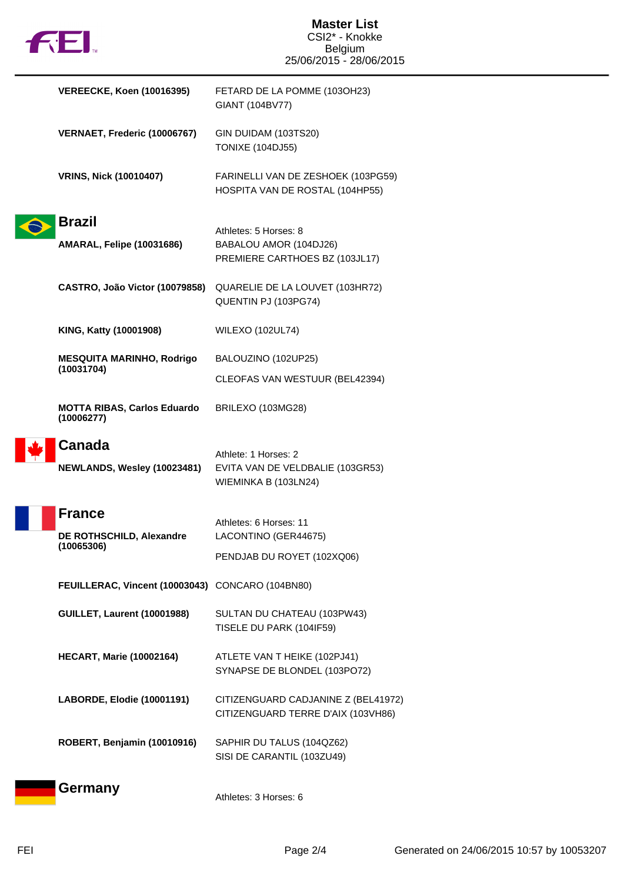|  | M |
|--|---|
|  |   |

| <b>VEREECKE, Koen (10016395)</b>                 | FETARD DE LA POMME (103OH23)<br>GIANT (104BV77)                                   |
|--------------------------------------------------|-----------------------------------------------------------------------------------|
| VERNAET, Frederic (10006767)                     | GIN DUIDAM (103TS20)<br><b>TONIXE (104DJ55)</b>                                   |
| <b>VRINS, Nick (10010407)</b>                    | FARINELLI VAN DE ZESHOEK (103PG59)<br>HOSPITA VAN DE ROSTAL (104HP55)             |
| Brazil                                           |                                                                                   |
| <b>AMARAL, Felipe (10031686)</b>                 | Athletes: 5 Horses: 8<br>BABALOU AMOR (104DJ26)<br>PREMIERE CARTHOES BZ (103JL17) |
| CASTRO, João Victor (10079858)                   | QUARELIE DE LA LOUVET (103HR72)<br>QUENTIN PJ (103PG74)                           |
| KING, Katty (10001908)                           | <b>WILEXO (102UL74)</b>                                                           |
| <b>MESQUITA MARINHO, Rodrigo</b>                 | BALOUZINO (102UP25)                                                               |
| (10031704)                                       | CLEOFAS VAN WESTUUR (BEL42394)                                                    |
| <b>MOTTA RIBAS, Carlos Eduardo</b><br>(10006277) | BRILEXO (103MG28)                                                                 |
| Canada                                           | Athlete: 1 Horses: 2                                                              |
| NEWLANDS, Wesley (10023481)                      | EVITA VAN DE VELDBALIE (103GR53)<br>WIEMINKA B (103LN24)                          |
| <b>France</b>                                    | Athletes: 6 Horses: 11                                                            |
| DE ROTHSCHILD, Alexandre                         | LACONTINO (GER44675)                                                              |
| (10065306)                                       | PENDJAB DU ROYET (102XQ06)                                                        |
| FEUILLERAC, Vincent (10003043) CONCARO (104BN80) |                                                                                   |
| <b>GUILLET, Laurent (10001988)</b>               | SULTAN DU CHATEAU (103PW43)<br>TISELE DU PARK (104IF59)                           |
| <b>HECART, Marie (10002164)</b>                  | ATLETE VAN T HEIKE (102PJ41)<br>SYNAPSE DE BLONDEL (103PO72)                      |
| LABORDE, Elodie (10001191)                       | CITIZENGUARD CADJANINE Z (BEL41972)<br>CITIZENGUARD TERRE D'AIX (103VH86)         |
| ROBERT, Benjamin (10010916)                      | SAPHIR DU TALUS (104QZ62)<br>SISI DE CARANTIL (103ZU49)                           |
| Germany                                          | Athletes: 3 Horses: 6                                                             |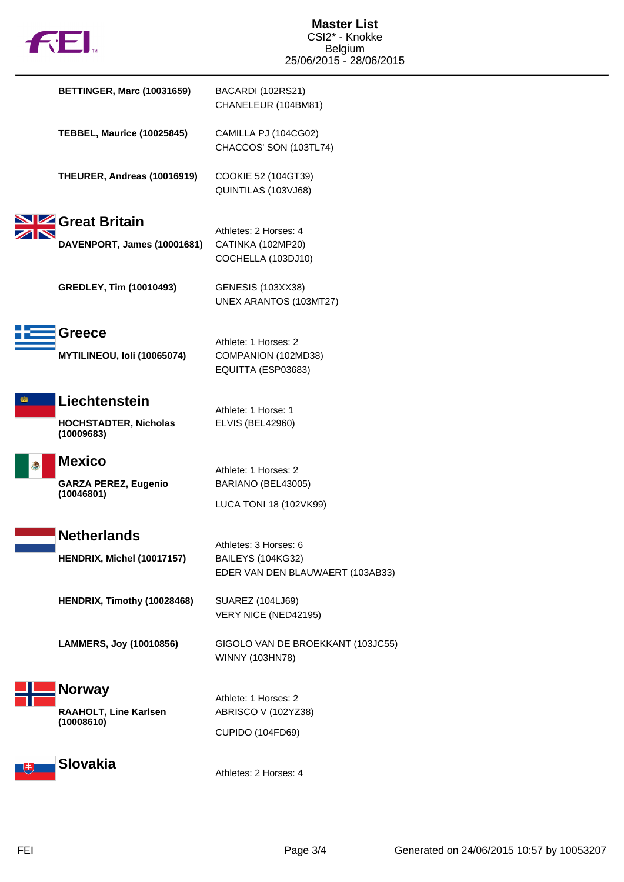|  | M |
|--|---|

| <b>BETTINGER, Marc (10031659)</b>                           | BACARDI (102RS21)<br>CHANELEUR (104BM81)                                              |
|-------------------------------------------------------------|---------------------------------------------------------------------------------------|
| <b>TEBBEL, Maurice (10025845)</b>                           | CAMILLA PJ (104CG02)<br>CHACCOS' SON (103TL74)                                        |
| THEURER, Andreas (10016919)                                 | COOKIE 52 (104GT39)<br>QUINTILAS (103VJ68)                                            |
| Great Britain<br>DAVENPORT, James (10001681)                | Athletes: 2 Horses: 4<br>CATINKA (102MP20)<br>COCHELLA (103DJ10)                      |
| <b>GREDLEY, Tim (10010493)</b>                              | <b>GENESIS (103XX38)</b><br>UNEX ARANTOS (103MT27)                                    |
| <b>Greece</b><br>MYTILINEOU, Ioli (10065074)                | Athlete: 1 Horses: 2<br>COMPANION (102MD38)<br>EQUITTA (ESP03683)                     |
| Liechtenstein<br><b>HOCHSTADTER, Nicholas</b><br>(10009683) | Athlete: 1 Horse: 1<br><b>ELVIS (BEL42960)</b>                                        |
| <b>Mexico</b><br><b>GARZA PEREZ, Eugenio</b><br>(10046801)  | Athlete: 1 Horses: 2<br>BARIANO (BEL43005)<br>LUCA TONI 18 (102VK99)                  |
| <b>Netherlands</b><br>HENDRIX, Michel (10017157)            | Athletes: 3 Horses: 6<br><b>BAILEYS (104KG32)</b><br>EDER VAN DEN BLAUWAERT (103AB33) |
| HENDRIX, Timothy (10028468)                                 | <b>SUAREZ (104LJ69)</b><br>VERY NICE (NED42195)                                       |
| LAMMERS, Joy (10010856)                                     | GIGOLO VAN DE BROEKKANT (103JC55)<br>WINNY (103HN78)                                  |
| <b>Norway</b><br>RAAHOLT, Line Karlsen<br>(10008610)        | Athlete: 1 Horses: 2<br>ABRISCO V (102YZ38)<br><b>CUPIDO (104FD69)</b>                |
| <b>Slovakia</b>                                             | Athletes: 2 Horses: 4                                                                 |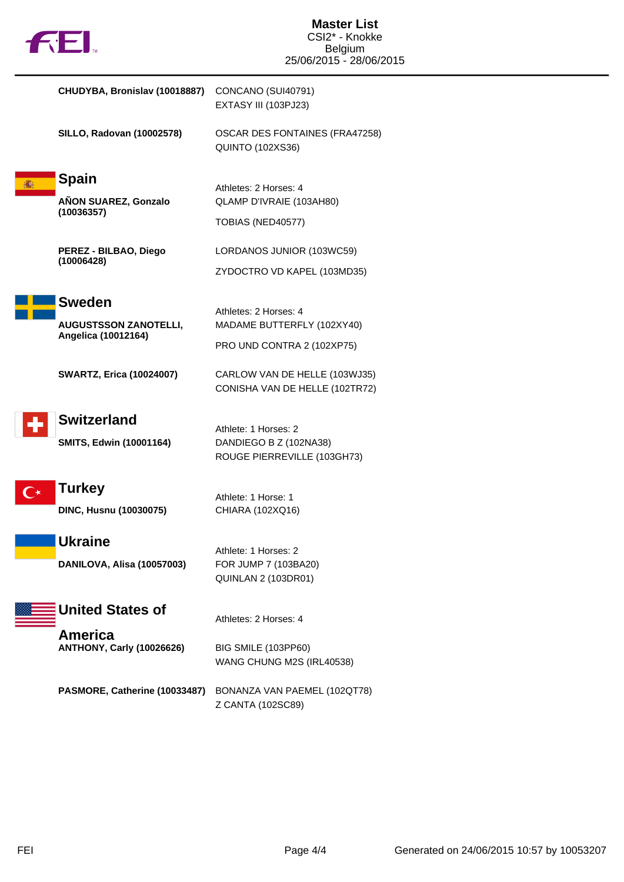|  | M |
|--|---|
|  |   |

| CHUDYBA, Bronislav (10018887) CONCANO (SUI40791) |                      |
|--------------------------------------------------|----------------------|
|                                                  | EXTASY III (103PJ23) |

**SILLO, Radovan (10002578)** OSCAR DES FONTAINES (FRA47258) QUINTO (102XS36)

**Spain AÑON SUAREZ, Gonzalo (10036357)**

Athletes: 2 Horses: 4 QLAMP D'IVRAIE (103AH80)

**PEREZ - BILBAO, Diego (10006428)**

LORDANOS JUNIOR (103WC59)

ZYDOCTRO VD KAPEL (103MD35)

MADAME BUTTERFLY (102XY40)

PRO UND CONTRA 2 (102XP75)

TOBIAS (NED40577)

Athletes: 2 Horses: 4



**AUGUSTSSON ZANOTELLI, Angelica (10012164)**

**SWARTZ, Erica (10024007)** CARLOW VAN DE HELLE (103WJ35) CONISHA VAN DE HELLE (102TR72)



## **Switzerland**

Athlete: 1 Horses: 2 **SMITS, Edwin (10001164)** DANDIEGO B Z (102NA38) ROUGE PIERREVILLE (103GH73)



**DINC, Husnu (10030075)** CHIARA (102XQ16)

Athlete: 1 Horse: 1



Athlete: 1 Horses: 2 **DANILOVA, Alisa (10057003)** FOR JUMP 7 (103BA20) QUINLAN 2 (103DR01)

**United States of**

**America ANTHONY, Carly (10026626)** BIG SMILE (103PP60)

Athletes: 2 Horses: 4

WANG CHUNG M2S (IRL40538)

**PASMORE, Catherine (10033487)** BONANZA VAN PAEMEL (102QT78) Z CANTA (102SC89)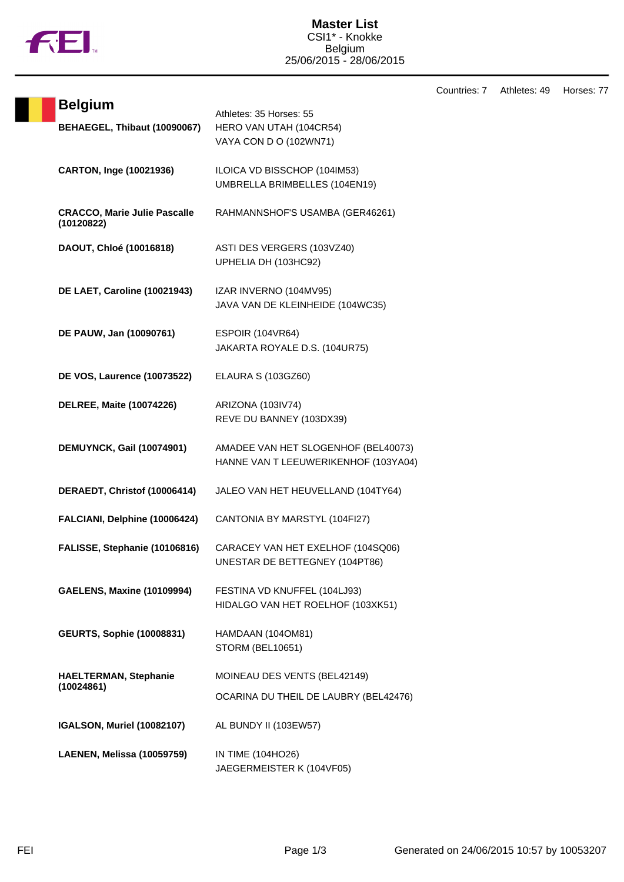

Countries: 7 Athletes: 49 Horses: 77

| <b>Belgium</b>                                    |                                                                              |
|---------------------------------------------------|------------------------------------------------------------------------------|
| BEHAEGEL, Thibaut (10090067)                      | Athletes: 35 Horses: 55<br>HERO VAN UTAH (104CR54)<br>VAYA CON D O (102WN71) |
| CARTON, Inge (10021936)                           | ILOICA VD BISSCHOP (104IM53)<br>UMBRELLA BRIMBELLES (104EN19)                |
| <b>CRACCO, Marie Julie Pascalle</b><br>(10120822) | RAHMANNSHOF'S USAMBA (GER46261)                                              |
| DAOUT, Chloé (10016818)                           | ASTI DES VERGERS (103VZ40)<br>UPHELIA DH (103HC92)                           |
| DE LAET, Caroline (10021943)                      | IZAR INVERNO (104MV95)<br>JAVA VAN DE KLEINHEIDE (104WC35)                   |
| DE PAUW, Jan (10090761)                           | <b>ESPOIR (104VR64)</b><br>JAKARTA ROYALE D.S. (104UR75)                     |
| <b>DE VOS, Laurence (10073522)</b>                | <b>ELAURA S (103GZ60)</b>                                                    |
| <b>DELREE, Maite (10074226)</b>                   | ARIZONA (103IV74)<br>REVE DU BANNEY (103DX39)                                |
| DEMUYNCK, Gail (10074901)                         | AMADEE VAN HET SLOGENHOF (BEL40073)<br>HANNE VAN T LEEUWERIKENHOF (103YA04)  |
| DERAEDT, Christof (10006414)                      | JALEO VAN HET HEUVELLAND (104TY64)                                           |
| FALCIANI, Delphine (10006424)                     | CANTONIA BY MARSTYL (104FI27)                                                |
| FALISSE, Stephanie (10106816)                     | CARACEY VAN HET EXELHOF (104SQ06)<br>UNESTAR DE BETTEGNEY (104PT86)          |
| <b>GAELENS, Maxine (10109994)</b>                 | FESTINA VD KNUFFEL (104LJ93)<br>HIDALGO VAN HET ROELHOF (103XK51)            |
| <b>GEURTS, Sophie (10008831)</b>                  | HAMDAAN (104OM81)<br><b>STORM (BEL10651)</b>                                 |
| <b>HAELTERMAN, Stephanie</b><br>(10024861)        | MOINEAU DES VENTS (BEL42149)<br>OCARINA DU THEIL DE LAUBRY (BEL42476)        |
| <b>IGALSON, Muriel (10082107)</b>                 | AL BUNDY II (103EW57)                                                        |
| LAENEN, Melissa (10059759)                        | IN TIME (104HO26)<br>JAEGERMEISTER K (104VF05)                               |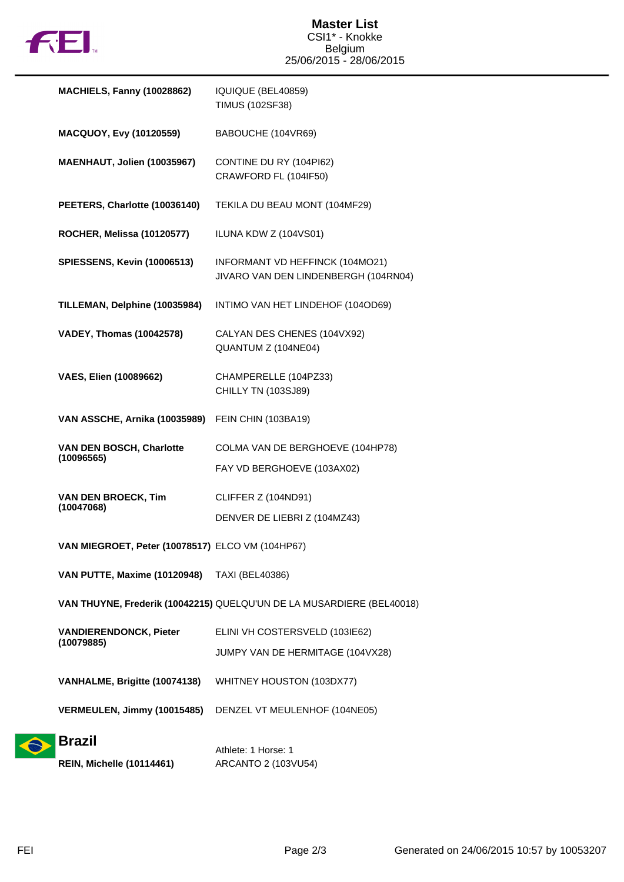

| <b>MACHIELS, Fanny (10028862)</b>                | IQUIQUE (BEL40859)<br><b>TIMUS (102SF38)</b>                            |
|--------------------------------------------------|-------------------------------------------------------------------------|
| MACQUOY, Evy (10120559)                          | BABOUCHE (104VR69)                                                      |
| MAENHAUT, Jolien (10035967)                      | CONTINE DU RY (104PI62)<br>CRAWFORD FL (104IF50)                        |
| PEETERS, Charlotte (10036140)                    | TEKILA DU BEAU MONT (104MF29)                                           |
| <b>ROCHER, Melissa (10120577)</b>                | ILUNA KDW Z (104VS01)                                                   |
| <b>SPIESSENS, Kevin (10006513)</b>               | INFORMANT VD HEFFINCK (104MO21)<br>JIVARO VAN DEN LINDENBERGH (104RN04) |
| TILLEMAN, Delphine (10035984)                    | INTIMO VAN HET LINDEHOF (104OD69)                                       |
| <b>VADEY, Thomas (10042578)</b>                  | CALYAN DES CHENES (104VX92)<br>QUANTUM Z (104NE04)                      |
| <b>VAES, Elien (10089662)</b>                    | CHAMPERELLE (104PZ33)<br>CHILLY TN (103SJ89)                            |
| VAN ASSCHE, Arnika (10035989)                    | FEIN CHIN (103BA19)                                                     |
| VAN DEN BOSCH, Charlotte<br>(10096565)           | COLMA VAN DE BERGHOEVE (104HP78)<br>FAY VD BERGHOEVE (103AX02)          |
| <b>VAN DEN BROECK, Tim</b><br>(10047068)         | CLIFFER Z (104ND91)<br>DENVER DE LIEBRI Z (104MZ43)                     |
| VAN MIEGROET, Peter (10078517) ELCO VM (104HP67) |                                                                         |
| VAN PUTTE, Maxime (10120948) TAXI (BEL40386)     |                                                                         |
|                                                  | VAN THUYNE, Frederik (10042215) QUELQU'UN DE LA MUSARDIERE (BEL40018)   |
| <b>VANDIERENDONCK, Pieter</b><br>(10079885)      | ELINI VH COSTERSVELD (103IE62)<br>JUMPY VAN DE HERMITAGE (104VX28)      |
| VANHALME, Brigitte (10074138)                    | WHITNEY HOUSTON (103DX77)                                               |
| VERMEULEN, Jimmy (10015485)                      | DENZEL VT MEULENHOF (104NE05)                                           |
| <b>Brazil</b>                                    | Athlete: 1 Horse: 1                                                     |

**REIN, Michelle (10114461)** ARCANTO 2 (103VU54)

 $\ddot{\bullet}$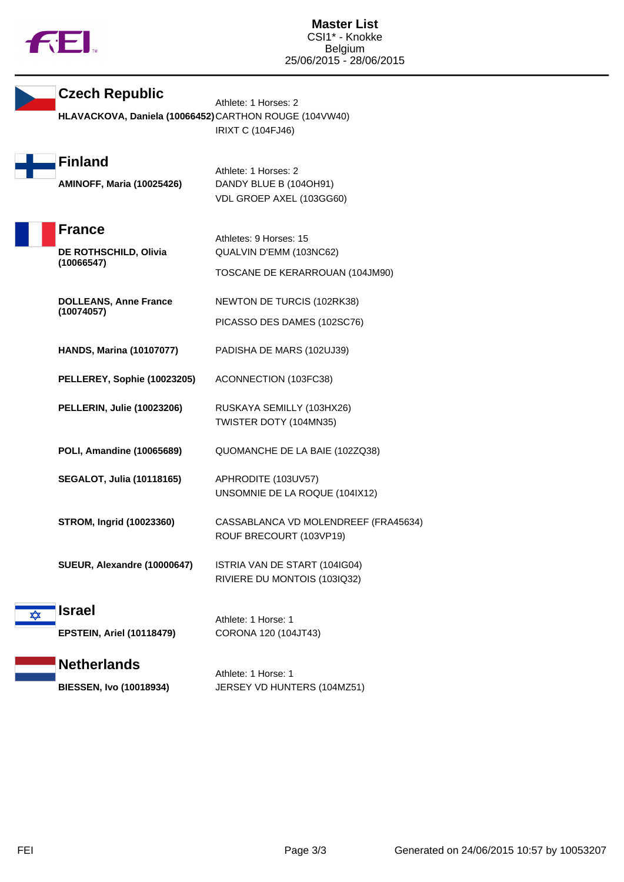

**Czech Republic**

Athlete: 1 Horses: 2 **HLAVACKOVA, Daniela (10066452)**CARTHON ROUGE (104VW40) IRIXT C (104FJ46)

| <b>Finland</b>                   |  |
|----------------------------------|--|
|                                  |  |
| <b>AMINOFF, Maria (10025426)</b> |  |

Athlete: 1 Horses: 2 **AMINOFF, Maria (10025426)** DANDY BLUE B (104OH91) VDL GROEP AXEL (103GG60)



Athletes: 9 Horses: 15 **DE ROTHSCHILD, Olivia (10066547)** QUALVIN D'EMM (103NC62) TOSCANE DE KERARROUAN (104JM90)

**DOLLEANS, Anne France (10074057)**

NEWTON DE TURCIS (102RK38)

PICASSO DES DAMES (102SC76)

- **HANDS, Marina (10107077)** PADISHA DE MARS (102UJ39)
- **PELLEREY, Sophie (10023205)** ACONNECTION (103FC38)
- **PELLERIN, Julie (10023206)** RUSKAYA SEMILLY (103HX26) TWISTER DOTY (104MN35)
- **POLI, Amandine (10065689)** QUOMANCHE DE LA BAIE (102ZQ38)
- **SEGALOT, Julia (10118165)** APHRODITE (103UV57)
	- UNSOMNIE DE LA ROQUE (104IX12)

**STROM, Ingrid (10023360)** CASSABLANCA VD MOLENDREEF (FRA45634) ROUF BRECOURT (103VP19)

**SUEUR, Alexandre (10000647)** ISTRIA VAN DE START (104IG04) RIVIERE DU MONTOIS (103IQ32)

## **Israel**

Athlete: 1 Horse: 1 **EPSTEIN, Ariel (10118479)** CORONA 120 (104JT43)

## **Netherlands**

Athlete: 1 Horse: 1 **BIESSEN, Ivo (10018934)** JERSEY VD HUNTERS (104MZ51)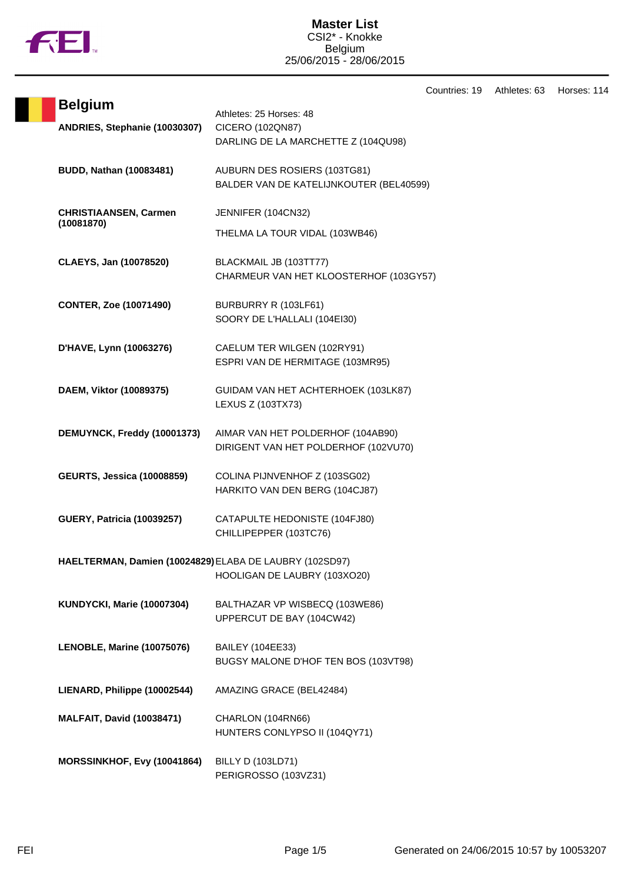

## **Master List** CSI2\* - Knokke Belgium 25/06/2015 - 28/06/2015

Countries: 19 Athletes: 63 Horses: 114

|                                                         | uu                                                                                 |
|---------------------------------------------------------|------------------------------------------------------------------------------------|
| <b>Belgium</b><br>ANDRIES, Stephanie (10030307)         | Athletes: 25 Horses: 48<br>CICERO (102QN87)<br>DARLING DE LA MARCHETTE Z (104QU98) |
| <b>BUDD, Nathan (10083481)</b>                          | AUBURN DES ROSIERS (103TG81)<br>BALDER VAN DE KATELIJNKOUTER (BEL40599)            |
| <b>CHRISTIAANSEN, Carmen</b><br>(10081870)              | JENNIFER (104CN32)<br>THELMA LA TOUR VIDAL (103WB46)                               |
| CLAEYS, Jan (10078520)                                  | BLACKMAIL JB (103TT77)<br>CHARMEUR VAN HET KLOOSTERHOF (103GY57)                   |
| <b>CONTER, Zoe (10071490)</b>                           | BURBURRY R (103LF61)<br>SOORY DE L'HALLALI (104EI30)                               |
| D'HAVE, Lynn (10063276)                                 | CAELUM TER WILGEN (102RY91)<br>ESPRI VAN DE HERMITAGE (103MR95)                    |
| DAEM, Viktor (10089375)                                 | GUIDAM VAN HET ACHTERHOEK (103LK87)<br>LEXUS Z (103TX73)                           |
| DEMUYNCK, Freddy (10001373)                             | AIMAR VAN HET POLDERHOF (104AB90)<br>DIRIGENT VAN HET POLDERHOF (102VU70)          |
| <b>GEURTS, Jessica (10008859)</b>                       | COLINA PIJNVENHOF Z (103SG02)<br>HARKITO VAN DEN BERG (104CJ87)                    |
| <b>GUERY, Patricia (10039257)</b>                       | CATAPULTE HEDONISTE (104FJ80)<br>CHILLIPEPPER (103TC76)                            |
| HAELTERMAN, Damien (10024829) ELABA DE LAUBRY (102SD97) | HOOLIGAN DE LAUBRY (103XO20)                                                       |
| <b>KUNDYCKI, Marie (10007304)</b>                       | BALTHAZAR VP WISBECQ (103WE86)<br>UPPERCUT DE BAY (104CW42)                        |
| LENOBLE, Marine (10075076)                              | <b>BAILEY (104EE33)</b><br>BUGSY MALONE D'HOF TEN BOS (103VT98)                    |
| LIENARD, Philippe (10002544)                            | AMAZING GRACE (BEL42484)                                                           |
| <b>MALFAIT, David (10038471)</b>                        | CHARLON (104RN66)<br>HUNTERS CONLYPSO II (104QY71)                                 |
| MORSSINKHOF, Evy (10041864)                             | <b>BILLY D (103LD71)</b><br>PERIGROSSO (103VZ31)                                   |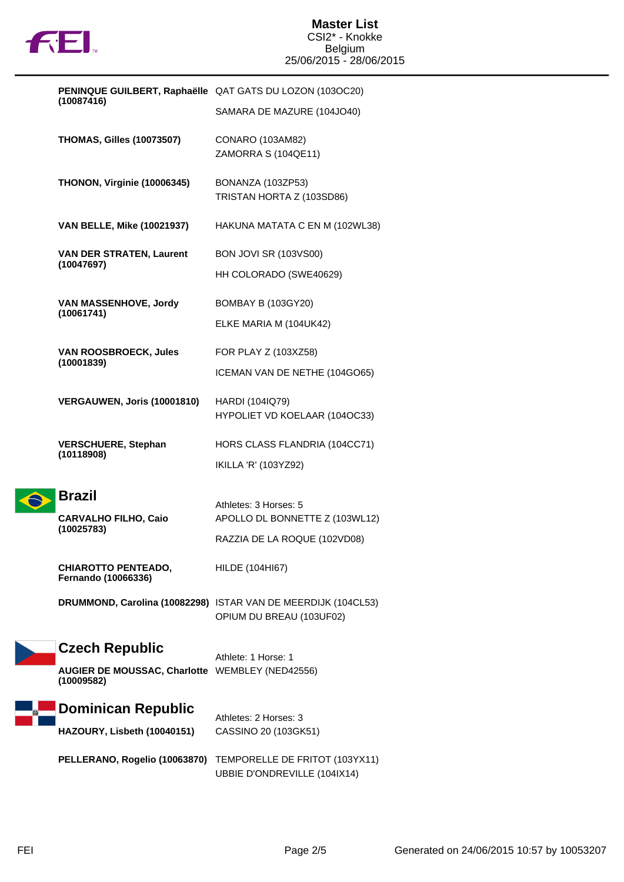

| PENINQUE GUILBERT, Raphaëlle QAT GATS DU LOZON (103OC20)<br>(10087416) |                                                               |                                                                                           |
|------------------------------------------------------------------------|---------------------------------------------------------------|-------------------------------------------------------------------------------------------|
|                                                                        |                                                               | SAMARA DE MAZURE (104JO40)                                                                |
|                                                                        | <b>THOMAS, Gilles (10073507)</b>                              | CONARO (103AM82)                                                                          |
|                                                                        |                                                               | ZAMORRA S (104QE11)                                                                       |
|                                                                        | THONON, Virginie (10006345)                                   | BONANZA (103ZP53)                                                                         |
|                                                                        |                                                               | TRISTAN HORTA Z (103SD86)                                                                 |
|                                                                        | <b>VAN BELLE, Mike (10021937)</b>                             | HAKUNA MATATA C EN M (102WL38)                                                            |
|                                                                        | <b>VAN DER STRATEN, Laurent</b><br>(10047697)                 | <b>BON JOVI SR (103VS00)</b>                                                              |
|                                                                        |                                                               | HH COLORADO (SWE40629)                                                                    |
|                                                                        | VAN MASSENHOVE, Jordy<br>(10061741)                           | <b>BOMBAY B (103GY20)</b>                                                                 |
|                                                                        |                                                               | ELKE MARIA M (104UK42)                                                                    |
|                                                                        | VAN ROOSBROECK, Jules                                         | FOR PLAY Z (103XZ58)                                                                      |
|                                                                        | (10001839)                                                    | ICEMAN VAN DE NETHE (104GO65)                                                             |
|                                                                        | VERGAUWEN, Joris (10001810)                                   | HARDI (104IQ79)                                                                           |
|                                                                        |                                                               | HYPOLIET VD KOELAAR (104OC33)                                                             |
|                                                                        | <b>VERSCHUERE, Stephan</b><br>(10118908)                      | HORS CLASS FLANDRIA (104CC71)                                                             |
|                                                                        |                                                               | IKILLA 'R' (103YZ92)                                                                      |
|                                                                        | <b>Brazil</b>                                                 |                                                                                           |
|                                                                        | <b>CARVALHO FILHO, Caio</b>                                   | Athletes: 3 Horses: 5<br>APOLLO DL BONNETTE Z (103WL12)                                   |
|                                                                        | (10025783)                                                    | RAZZIA DE LA ROQUE (102VD08)                                                              |
|                                                                        | <b>CHIAROTTO PENTEADO,</b>                                    | HILDE (104HI67)                                                                           |
|                                                                        | Fernando (10066336)                                           |                                                                                           |
|                                                                        |                                                               | DRUMMOND, Carolina (10082298) ISTAR VAN DE MEERDIJK (104CL53)<br>OPIUM DU BREAU (103UF02) |
|                                                                        |                                                               |                                                                                           |
|                                                                        | <b>Czech Republic</b>                                         | Athlete: 1 Horse: 1                                                                       |
|                                                                        | AUGIER DE MOUSSAC, Charlotte WEMBLEY (NED42556)<br>(10009582) |                                                                                           |
|                                                                        | <b>Dominican Republic</b>                                     |                                                                                           |
|                                                                        | HAZOURY, Lisbeth (10040151)                                   | Athletes: 2 Horses: 3<br>CASSINO 20 (103GK51)                                             |
|                                                                        | PELLERANO, Rogelio (10063870)                                 | TEMPORELLE DE FRITOT (103YX11)                                                            |
|                                                                        |                                                               | UBBIE D'ONDREVILLE (104IX14)                                                              |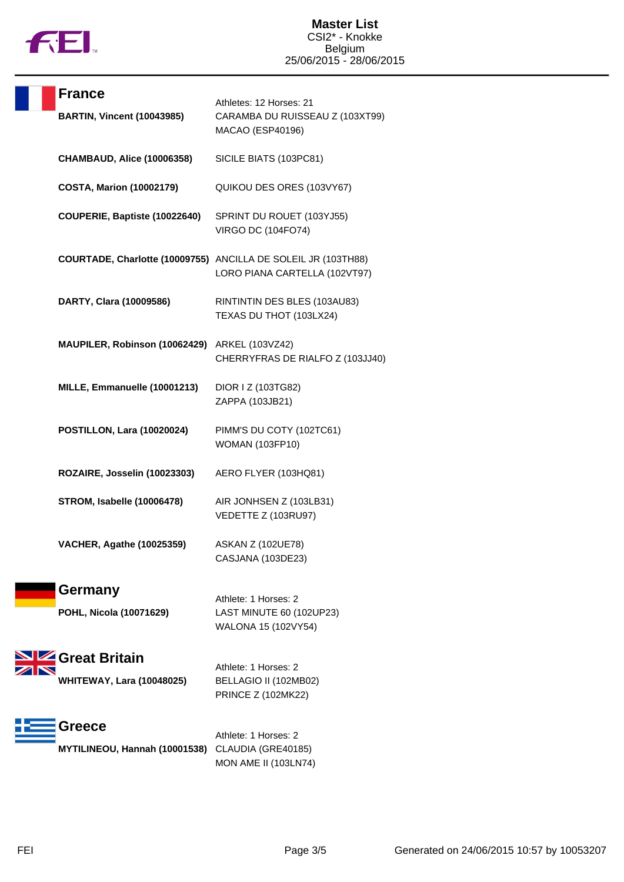

| <b>France</b><br><b>BARTIN, Vincent (10043985)</b>          | Athletes: 12 Horses: 21<br>CARAMBA DU RUISSEAU Z (103XT99)<br>MACAO (ESP40196)                 |
|-------------------------------------------------------------|------------------------------------------------------------------------------------------------|
| <b>CHAMBAUD, Alice (10006358)</b>                           | SICILE BIATS (103PC81)                                                                         |
| <b>COSTA, Marion (10002179)</b>                             | QUIKOU DES ORES (103VY67)                                                                      |
| COUPERIE, Baptiste (10022640)                               | SPRINT DU ROUET (103YJ55)<br><b>VIRGO DC (104FO74)</b>                                         |
|                                                             | COURTADE, Charlotte (10009755) ANCILLA DE SOLEIL JR (103TH88)<br>LORO PIANA CARTELLA (102VT97) |
| DARTY, Clara (10009586)                                     | RINTINTIN DES BLES (103AU83)<br>TEXAS DU THOT (103LX24)                                        |
| MAUPILER, Robinson (10062429) ARKEL (103VZ42)               | CHERRYFRAS DE RIALFO Z (103JJ40)                                                               |
| MILLE, Emmanuelle (10001213)                                | DIOR I Z (103TG82)<br>ZAPPA (103JB21)                                                          |
| POSTILLON, Lara (10020024)                                  | PIMM'S DU COTY (102TC61)<br><b>WOMAN (103FP10)</b>                                             |
| ROZAIRE, Josselin (10023303)                                | AERO FLYER (103HQ81)                                                                           |
| <b>STROM, Isabelle (10006478)</b>                           | AIR JONHSEN Z (103LB31)<br>VEDETTE Z (103RU97)                                                 |
| <b>VACHER, Agathe (10025359)</b>                            | <b>ASKAN Z (102UE78)</b><br>CASJANA (103DE23)                                                  |
| Germany<br>POHL, Nicola (10071629)                          | Athlete: 1 Horses: 2<br>LAST MINUTE 60 (102UP23)<br>WALONA 15 (102VY54)                        |
| <b>Ze Great Britain</b><br><b>WHITEWAY, Lara (10048025)</b> | Athlete: 1 Horses: 2<br>BELLAGIO II (102MB02)<br><b>PRINCE Z (102MK22)</b>                     |
| Greece<br>MYTILINEOU, Hannah (10001538) CLAUDIA (GRE40185)  | Athlete: 1 Horses: 2<br><b>MON AME II (103LN74)</b>                                            |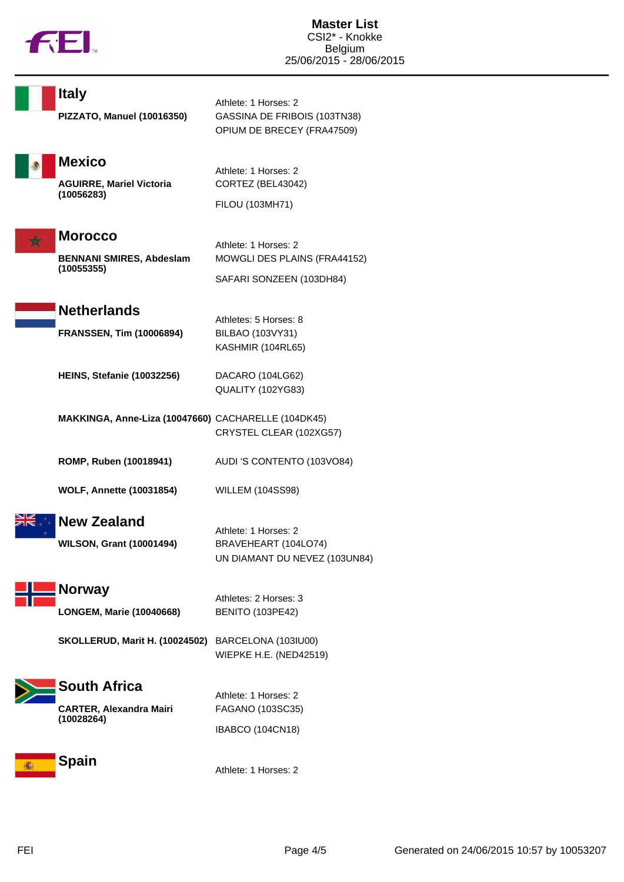

| <b>Italy</b>                                                    | Athlete: 1 Horses: 2                                                             |
|-----------------------------------------------------------------|----------------------------------------------------------------------------------|
| PIZZATO, Manuel (10016350)                                      | GASSINA DE FRIBOIS (103TN38)<br>OPIUM DE BRECEY (FRA47509)                       |
| <b>Mexico</b><br><b>AGUIRRE, Mariel Victoria</b><br>(10056283)  | Athlete: 1 Horses: 2<br>CORTEZ (BEL43042)<br>FILOU (103MH71)                     |
| <b>Morocco</b><br><b>BENNANI SMIRES, Abdeslam</b><br>(10055355) | Athlete: 1 Horses: 2<br>MOWGLI DES PLAINS (FRA44152)<br>SAFARI SONZEEN (103DH84) |
| <b>Netherlands</b><br><b>FRANSSEN, Tim (10006894)</b>           | Athletes: 5 Horses: 8<br>BILBAO (103VY31)<br>KASHMIR (104RL65)                   |
| <b>HEINS, Stefanie (10032256)</b>                               | DACARO (104LG62)<br>QUALITY (102YG83)                                            |
| MAKKINGA, Anne-Liza (10047660) CACHARELLE (104DK45)             | CRYSTEL CLEAR (102XG57)                                                          |
| ROMP, Ruben (10018941)                                          | AUDI 'S CONTENTO (103VO84)                                                       |
| <b>WOLF, Annette (10031854)</b>                                 | <b>WILLEM (104SS98)</b>                                                          |
| <b>New Zealand</b><br><b>WILSON, Grant (10001494)</b>           | Athlete: 1 Horses: 2<br>BRAVEHEART (104LO74)<br>UN DIAMANT DU NEVEZ (103UN84)    |
| <b>Norway</b><br><b>LONGEM, Marie (10040668)</b>                | Athletes: 2 Horses: 3<br><b>BENITO (103PE42)</b>                                 |
| <b>SKOLLERUD, Marit H. (10024502)</b><br><b>South Africa</b>    | BARCELONA (103IU00)<br><b>WIEPKE H.E. (NED42519)</b>                             |
| <b>CARTER, Alexandra Mairi</b><br>(10028264)                    | Athlete: 1 Horses: 2<br>FAGANO (103SC35)<br><b>IBABCO (104CN18)</b>              |
| <b>Spain</b>                                                    | Athlete: 1 Horses: 2                                                             |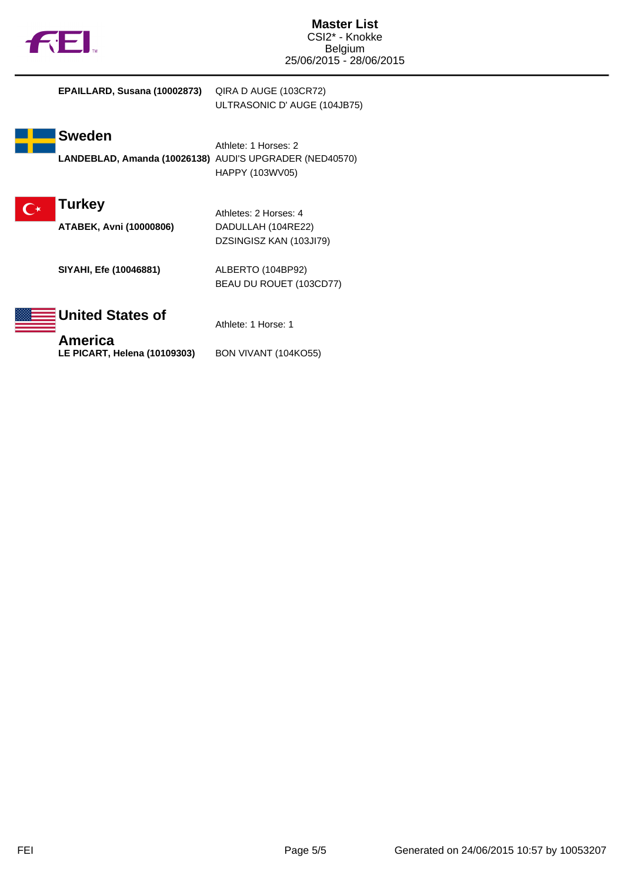

| EPAILLARD, Susana (10002873)                                             | QIRA D AUGE (103CR72)<br>ULTRASONIC D' AUGE (104JB75)                  |
|--------------------------------------------------------------------------|------------------------------------------------------------------------|
| <b>Sweden</b><br>LANDEBLAD, Amanda (10026138) AUDI'S UPGRADER (NED40570) | Athlete: 1 Horses: 2<br>HAPPY (103WV05)                                |
| <b>Turkey</b><br>ATABEK, Avni (10000806)                                 | Athletes: 2 Horses: 4<br>DADULLAH (104RE22)<br>DZSINGISZ KAN (103JI79) |
| SIYAHI, Efe (10046881)                                                   | ALBERTO (104BP92)<br>BEAU DU ROUET (103CD77)                           |
| United States of<br>America                                              | Athlete: 1 Horse: 1                                                    |
| LE PICART, Helena (10109303)                                             | BON VIVANT (104KO55)                                                   |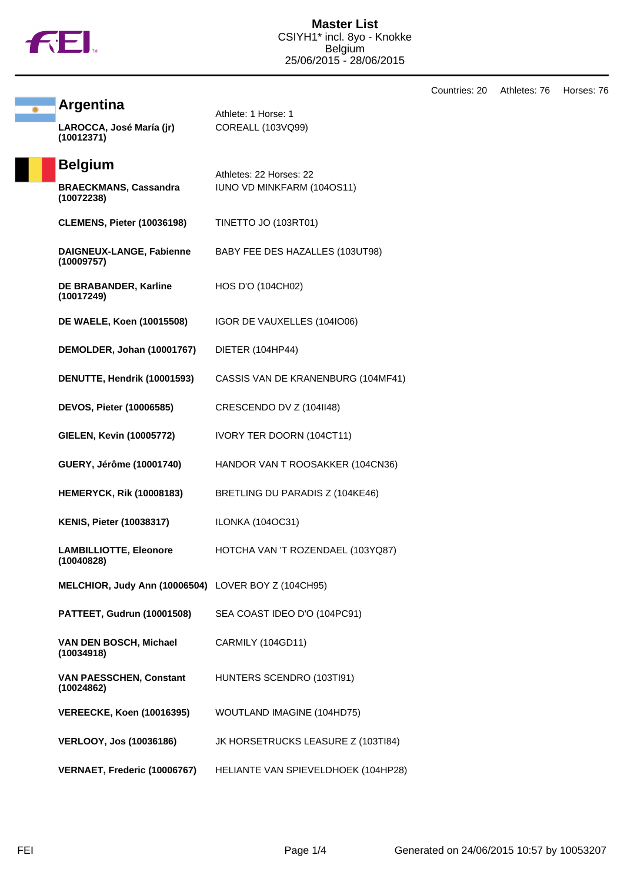

Countries: 20 Athletes: 76 Horses: 76 **Argentina** Athlete: 1 Horse: 1 **LAROCCA, José María (jr) (10012371)** COREALL (103VQ99) **Belgium** Athletes: 22 Horses: 22 **BRAECKMANS, Cassandra (10072238)** IUNO VD MINKFARM (104OS11) **CLEMENS, Pieter (10036198)** TINETTO JO (103RT01) **DAIGNEUX-LANGE, Fabienne (10009757)** BABY FEE DES HAZALLES (103UT98) **DE BRABANDER, Karline (10017249)** HOS D'O (104CH02) **DE WAELE, Koen (10015508)** IGOR DE VAUXELLES (104IO06) **DEMOLDER, Johan (10001767)** DIETER (104HP44) **DENUTTE, Hendrik (10001593)** CASSIS VAN DE KRANENBURG (104MF41) **DEVOS, Pieter (10006585)** CRESCENDO DV Z (104II48) **GIELEN, Kevin (10005772)** IVORY TER DOORN (104CT11) **GUERY, Jérôme (10001740)** HANDOR VAN T ROOSAKKER (104CN36) **HEMERYCK, Rik (10008183)** BRETLING DU PARADIS Z (104KE46) **KENIS, Pieter (10038317)** ILONKA (104OC31) **LAMBILLIOTTE, Eleonore (10040828)** HOTCHA VAN 'T ROZENDAEL (103YQ87) **MELCHIOR, Judy Ann (10006504)** LOVER BOY Z (104CH95) **PATTEET, Gudrun (10001508)** SEA COAST IDEO D'O (104PC91) **VAN DEN BOSCH, Michael (10034918)** CARMILY (104GD11) **VAN PAESSCHEN, Constant (10024862)** HUNTERS SCENDRO (103TI91) **VEREECKE, Koen (10016395)** WOUTLAND IMAGINE (104HD75) **VERLOOY, Jos (10036186)** JK HORSETRUCKS LEASURE Z (103TI84) **VERNAET, Frederic (10006767)** HELIANTE VAN SPIEVELDHOEK (104HP28)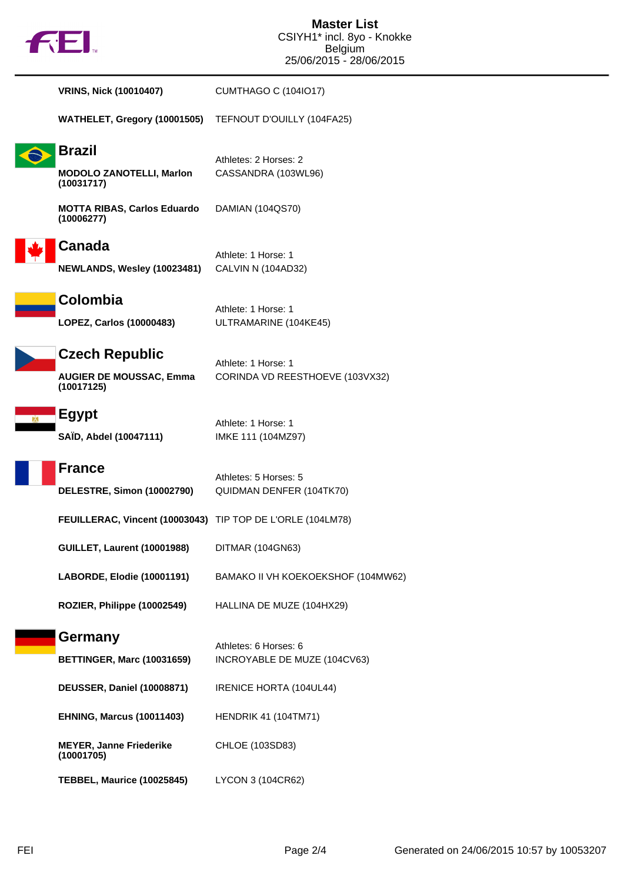

| <b>VRINS, Nick (10010407)</b>                                         | <b>CUMTHAGO C (104IO17)</b>                            |
|-----------------------------------------------------------------------|--------------------------------------------------------|
| WATHELET, Gregory (10001505)                                          | TEFNOUT D'OUILLY (104FA25)                             |
| <b>Brazil</b><br><b>MODOLO ZANOTELLI, Marlon</b><br>(10031717)        | Athletes: 2 Horses: 2<br>CASSANDRA (103WL96)           |
| <b>MOTTA RIBAS, Carlos Eduardo</b><br>(10006277)                      | DAMIAN (104QS70)                                       |
| Canada<br>NEWLANDS, Wesley (10023481)                                 | Athlete: 1 Horse: 1<br>CALVIN N (104AD32)              |
| Colombia<br>LOPEZ, Carlos (10000483)                                  | Athlete: 1 Horse: 1<br>ULTRAMARINE (104KE45)           |
| <b>Czech Republic</b><br><b>AUGIER DE MOUSSAC, Emma</b><br>(10017125) | Athlete: 1 Horse: 1<br>CORINDA VD REESTHOEVE (103VX32) |
| <b>Egypt</b><br>SAÏD, Abdel (10047111)                                | Athlete: 1 Horse: 1<br>IMKE 111 (104MZ97)              |
| <b>France</b><br>DELESTRE, Simon (10002790)                           | Athletes: 5 Horses: 5<br>QUIDMAN DENFER (104TK70)      |
| FEUILLERAC, Vincent (10003043) TIP TOP DE L'ORLE (104LM78)            |                                                        |
| <b>GUILLET, Laurent (10001988)</b>                                    | DITMAR (104GN63)                                       |
| LABORDE, Elodie (10001191)                                            | BAMAKO II VH KOEKOEKSHOF (104MW62)                     |
| ROZIER, Philippe (10002549)                                           | HALLINA DE MUZE (104HX29)                              |
| <b>Germany</b>                                                        | Athletes: 6 Horses: 6                                  |
| <b>BETTINGER, Marc (10031659)</b>                                     | INCROYABLE DE MUZE (104CV63)                           |
| <b>DEUSSER, Daniel (10008871)</b>                                     | IRENICE HORTA (104UL44)                                |
| <b>EHNING, Marcus (10011403)</b>                                      | <b>HENDRIK 41 (104TM71)</b>                            |
| <b>MEYER, Janne Friederike</b><br>(10001705)                          | CHLOE (103SD83)                                        |
| <b>TEBBEL, Maurice (10025845)</b>                                     | LYCON 3 (104CR62)                                      |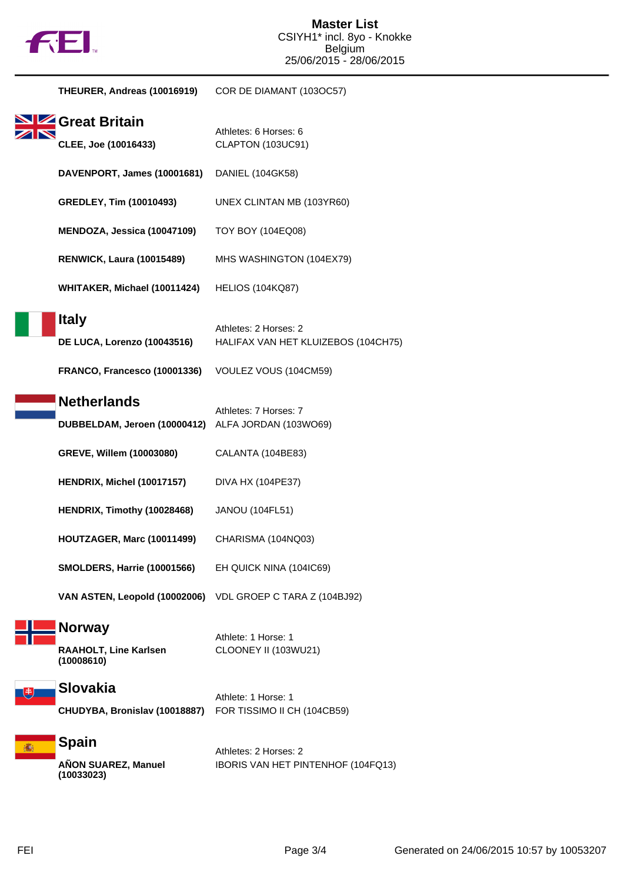

|   | THEURER, Andreas (10016919)                                                 | COR DE DIAMANT (103OC57)                                                              |
|---|-----------------------------------------------------------------------------|---------------------------------------------------------------------------------------|
|   | <b>SIZ</b> Great Britain<br>CLEE, Joe (10016433)                            | Athletes: 6 Horses: 6<br>CLAPTON (103UC91)                                            |
|   | DAVENPORT, James (10001681)                                                 | DANIEL (104GK58)                                                                      |
|   | <b>GREDLEY, Tim (10010493)</b>                                              | UNEX CLINTAN MB (103YR60)                                                             |
|   | MENDOZA, Jessica (10047109)                                                 | TOY BOY (104EQ08)                                                                     |
|   | <b>RENWICK, Laura (10015489)</b>                                            | MHS WASHINGTON (104EX79)                                                              |
|   | WHITAKER, Michael (10011424)                                                | <b>HELIOS (104KQ87)</b>                                                               |
|   | <b>Italy</b><br>DE LUCA, Lorenzo (10043516)<br>FRANCO, Francesco (10001336) | Athletes: 2 Horses: 2<br>HALIFAX VAN HET KLUIZEBOS (104CH75)<br>VOULEZ VOUS (104CM59) |
|   | <b>Netherlands</b>                                                          |                                                                                       |
|   | DUBBELDAM, Jeroen (10000412)                                                | Athletes: 7 Horses: 7<br>ALFA JORDAN (103WO69)                                        |
|   | GREVE, Willem (10003080)                                                    | CALANTA (104BE83)                                                                     |
|   | HENDRIX, Michel (10017157)                                                  | DIVA HX (104PE37)                                                                     |
|   | HENDRIX, Timothy (10028468)                                                 | <b>JANOU (104FL51)</b>                                                                |
|   | HOUTZAGER, Marc (10011499)                                                  | CHARISMA (104NQ03)                                                                    |
|   | <b>SMOLDERS, Harrie (10001566)</b>                                          | EH QUICK NINA (104IC69)                                                               |
|   | VAN ASTEN, Leopold (10002006)                                               | VDL GROEP C TARA Z (104BJ92)                                                          |
|   | <b>Norway</b><br>RAAHOLT, Line Karlsen<br>(10008610)                        | Athlete: 1 Horse: 1<br>CLOONEY II (103WU21)                                           |
| 患 | <b>Slovakia</b><br>CHUDYBA, Bronislav (10018887)                            | Athlete: 1 Horse: 1<br>FOR TISSIMO II CH (104CB59)                                    |
|   | <b>Spain</b><br>AÑON SUAREZ, Manuel<br>(10033023)                           | Athletes: 2 Horses: 2<br>IBORIS VAN HET PINTENHOF (104FQ13)                           |